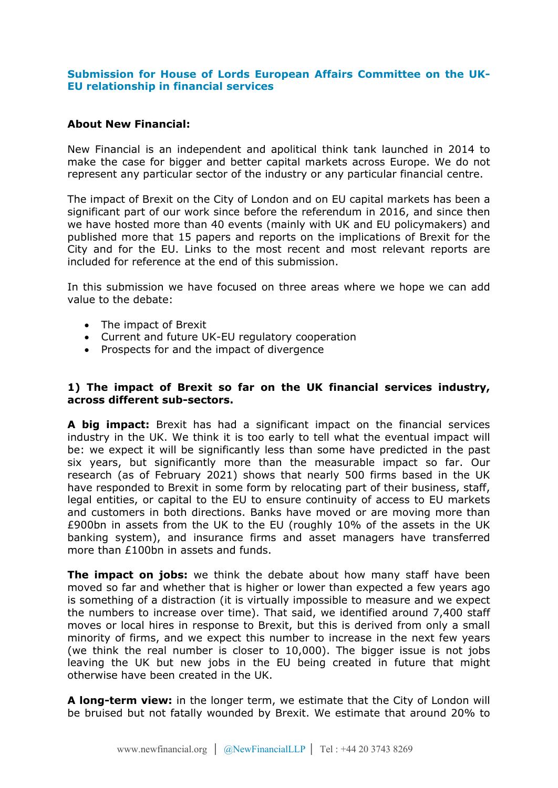# **Submission for House of Lords European Affairs Committee on the UK-EU relationship in financial services**

### **About New Financial:**

New Financial is an independent and apolitical think tank launched in 2014 to make the case for bigger and better capital markets across Europe. We do not represent any particular sector of the industry or any particular financial centre.

The impact of Brexit on the City of London and on EU capital markets has been a significant part of our work since before the referendum in 2016, and since then we have hosted more than 40 events (mainly with UK and EU policymakers) and published more that 15 papers and reports on the implications of Brexit for the City and for the EU. Links to the most recent and most relevant reports are included for reference at the end of this submission.

In this submission we have focused on three areas where we hope we can add value to the debate:

- The impact of Brexit
- Current and future UK-EU regulatory cooperation
- Prospects for and the impact of divergence

# **1) The impact of Brexit so far on the UK financial services industry, across different sub-sectors.**

**A big impact:** Brexit has had a significant impact on the financial services industry in the UK. We think it is too early to tell what the eventual impact will be: we expect it will be significantly less than some have predicted in the past six years, but significantly more than the measurable impact so far. Our research (as of February 2021) shows that nearly 500 firms based in the UK have responded to Brexit in some form by relocating part of their business, staff, legal entities, or capital to the EU to ensure continuity of access to EU markets and customers in both directions. Banks have moved or are moving more than £900bn in assets from the UK to the EU (roughly 10% of the assets in the UK banking system), and insurance firms and asset managers have transferred more than £100bn in assets and funds.

**The impact on jobs:** we think the debate about how many staff have been moved so far and whether that is higher or lower than expected a few years ago is something of a distraction (it is virtually impossible to measure and we expect the numbers to increase over time). That said, we identified around 7,400 staff moves or local hires in response to Brexit, but this is derived from only a small minority of firms, and we expect this number to increase in the next few years (we think the real number is closer to 10,000). The bigger issue is not jobs leaving the UK but new jobs in the EU being created in future that might otherwise have been created in the UK.

**A long-term view:** in the longer term, we estimate that the City of London will be bruised but not fatally wounded by Brexit. We estimate that around 20% to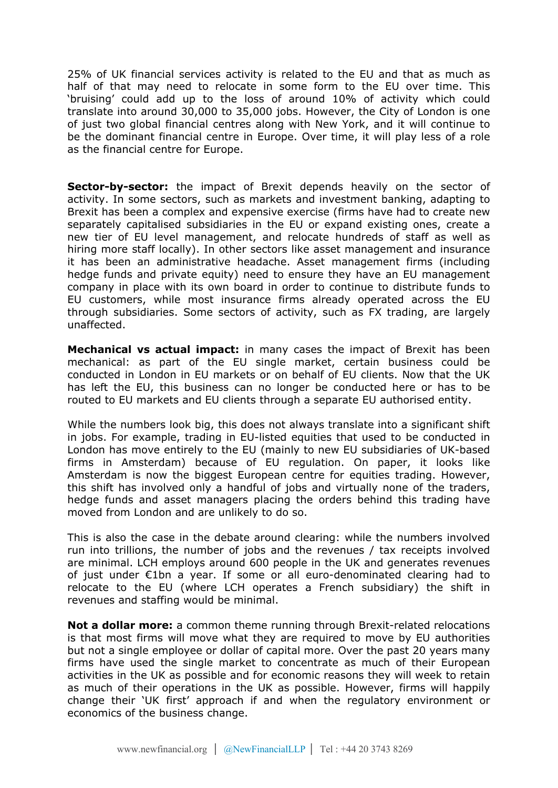25% of UK financial services activity is related to the EU and that as much as half of that may need to relocate in some form to the EU over time. This 'bruising' could add up to the loss of around 10% of activity which could translate into around 30,000 to 35,000 jobs. However, the City of London is one of just two global financial centres along with New York, and it will continue to be the dominant financial centre in Europe. Over time, it will play less of a role as the financial centre for Europe.

**Sector-by-sector:** the impact of Brexit depends heavily on the sector of activity. In some sectors, such as markets and investment banking, adapting to Brexit has been a complex and expensive exercise (firms have had to create new separately capitalised subsidiaries in the EU or expand existing ones, create a new tier of EU level management, and relocate hundreds of staff as well as hiring more staff locally). In other sectors like asset management and insurance it has been an administrative headache. Asset management firms (including hedge funds and private equity) need to ensure they have an EU management company in place with its own board in order to continue to distribute funds to EU customers, while most insurance firms already operated across the EU through subsidiaries. Some sectors of activity, such as FX trading, are largely unaffected.

**Mechanical vs actual impact:** in many cases the impact of Brexit has been mechanical: as part of the EU single market, certain business could be conducted in London in EU markets or on behalf of EU clients. Now that the UK has left the EU, this business can no longer be conducted here or has to be routed to EU markets and EU clients through a separate EU authorised entity.

While the numbers look big, this does not always translate into a significant shift in jobs. For example, trading in EU-listed equities that used to be conducted in London has move entirely to the EU (mainly to new EU subsidiaries of UK-based firms in Amsterdam) because of EU regulation. On paper, it looks like Amsterdam is now the biggest European centre for equities trading. However, this shift has involved only a handful of jobs and virtually none of the traders, hedge funds and asset managers placing the orders behind this trading have moved from London and are unlikely to do so.

This is also the case in the debate around clearing: while the numbers involved run into trillions, the number of jobs and the revenues / tax receipts involved are minimal. LCH employs around 600 people in the UK and generates revenues of just under €1bn a year. If some or all euro-denominated clearing had to relocate to the EU (where LCH operates a French subsidiary) the shift in revenues and staffing would be minimal.

**Not a dollar more:** a common theme running through Brexit-related relocations is that most firms will move what they are required to move by EU authorities but not a single employee or dollar of capital more. Over the past 20 years many firms have used the single market to concentrate as much of their European activities in the UK as possible and for economic reasons they will week to retain as much of their operations in the UK as possible. However, firms will happily change their 'UK first' approach if and when the regulatory environment or economics of the business change.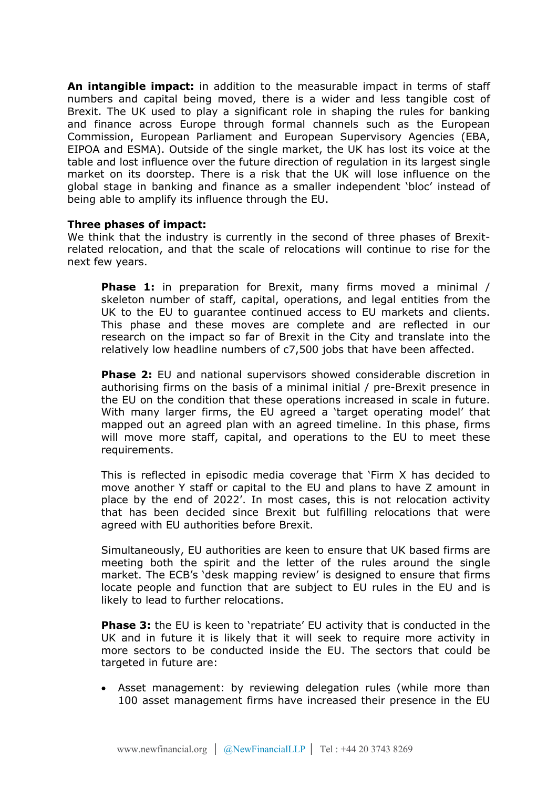**An intangible impact:** in addition to the measurable impact in terms of staff numbers and capital being moved, there is a wider and less tangible cost of Brexit. The UK used to play a significant role in shaping the rules for banking and finance across Europe through formal channels such as the European Commission, European Parliament and European Supervisory Agencies (EBA, EIPOA and ESMA). Outside of the single market, the UK has lost its voice at the table and lost influence over the future direction of regulation in its largest single market on its doorstep. There is a risk that the UK will lose influence on the global stage in banking and finance as a smaller independent 'bloc' instead of being able to amplify its influence through the EU.

#### **Three phases of impact:**

We think that the industry is currently in the second of three phases of Brexitrelated relocation, and that the scale of relocations will continue to rise for the next few years.

**Phase 1:** in preparation for Brexit, many firms moved a minimal / skeleton number of staff, capital, operations, and legal entities from the UK to the EU to guarantee continued access to EU markets and clients. This phase and these moves are complete and are reflected in our research on the impact so far of Brexit in the City and translate into the relatively low headline numbers of c7,500 jobs that have been affected.

**Phase 2:** EU and national supervisors showed considerable discretion in authorising firms on the basis of a minimal initial / pre-Brexit presence in the EU on the condition that these operations increased in scale in future. With many larger firms, the EU agreed a 'target operating model' that mapped out an agreed plan with an agreed timeline. In this phase, firms will move more staff, capital, and operations to the EU to meet these requirements.

This is reflected in episodic media coverage that 'Firm X has decided to move another Y staff or capital to the EU and plans to have Z amount in place by the end of 2022'. In most cases, this is not relocation activity that has been decided since Brexit but fulfilling relocations that were agreed with EU authorities before Brexit.

Simultaneously, EU authorities are keen to ensure that UK based firms are meeting both the spirit and the letter of the rules around the single market. The ECB's 'desk mapping review' is designed to ensure that firms locate people and function that are subject to EU rules in the EU and is likely to lead to further relocations.

**Phase 3:** the EU is keen to 'repatriate' EU activity that is conducted in the UK and in future it is likely that it will seek to require more activity in more sectors to be conducted inside the EU. The sectors that could be targeted in future are:

 Asset management: by reviewing delegation rules (while more than 100 asset management firms have increased their presence in the EU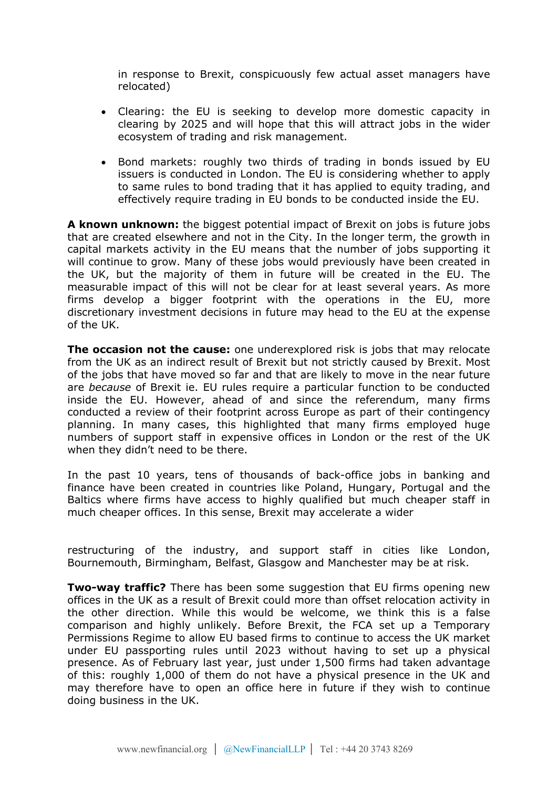in response to Brexit, conspicuously few actual asset managers have relocated)

- Clearing: the EU is seeking to develop more domestic capacity in clearing by 2025 and will hope that this will attract jobs in the wider ecosystem of trading and risk management.
- Bond markets: roughly two thirds of trading in bonds issued by EU issuers is conducted in London. The EU is considering whether to apply to same rules to bond trading that it has applied to equity trading, and effectively require trading in EU bonds to be conducted inside the EU.

**A known unknown:** the biggest potential impact of Brexit on jobs is future jobs that are created elsewhere and not in the City. In the longer term, the growth in capital markets activity in the EU means that the number of jobs supporting it will continue to grow. Many of these jobs would previously have been created in the UK, but the majority of them in future will be created in the EU. The measurable impact of this will not be clear for at least several years. As more firms develop a bigger footprint with the operations in the EU, more discretionary investment decisions in future may head to the EU at the expense of the UK.

**The occasion not the cause:** one underexplored risk is jobs that may relocate from the UK as an indirect result of Brexit but not strictly caused by Brexit. Most of the jobs that have moved so far and that are likely to move in the near future are *because* of Brexit ie. EU rules require a particular function to be conducted inside the EU. However, ahead of and since the referendum, many firms conducted a review of their footprint across Europe as part of their contingency planning. In many cases, this highlighted that many firms employed huge numbers of support staff in expensive offices in London or the rest of the UK when they didn't need to be there.

In the past 10 years, tens of thousands of back-office jobs in banking and finance have been created in countries like Poland, Hungary, Portugal and the Baltics where firms have access to highly qualified but much cheaper staff in much cheaper offices. In this sense, Brexit may accelerate a wider

restructuring of the industry, and support staff in cities like London, Bournemouth, Birmingham, Belfast, Glasgow and Manchester may be at risk.

**Two-way traffic?** There has been some suggestion that EU firms opening new offices in the UK as a result of Brexit could more than offset relocation activity in the other direction. While this would be welcome, we think this is a false comparison and highly unlikely. Before Brexit, the FCA set up a Temporary Permissions Regime to allow EU based firms to continue to access the UK market under EU passporting rules until 2023 without having to set up a physical presence. As of February last year, just under 1,500 firms had taken advantage of this: roughly 1,000 of them do not have a physical presence in the UK and may therefore have to open an office here in future if they wish to continue doing business in the UK.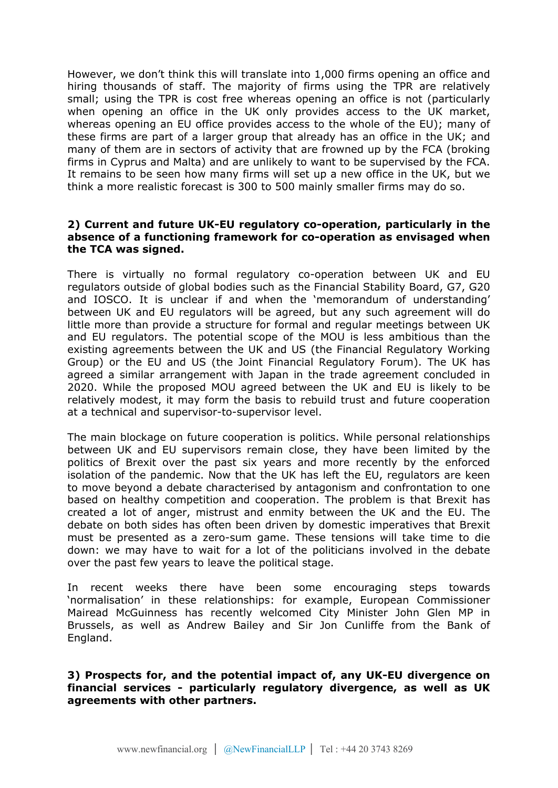However, we don't think this will translate into 1,000 firms opening an office and hiring thousands of staff. The majority of firms using the TPR are relatively small; using the TPR is cost free whereas opening an office is not (particularly when opening an office in the UK only provides access to the UK market, whereas opening an EU office provides access to the whole of the EU); many of these firms are part of a larger group that already has an office in the UK; and many of them are in sectors of activity that are frowned up by the FCA (broking firms in Cyprus and Malta) and are unlikely to want to be supervised by the FCA. It remains to be seen how many firms will set up a new office in the UK, but we think a more realistic forecast is 300 to 500 mainly smaller firms may do so.

### **2) Current and future UK-EU regulatory co-operation, particularly in the absence of a functioning framework for co-operation as envisaged when the TCA was signed.**

There is virtually no formal regulatory co-operation between UK and EU regulators outside of global bodies such as the Financial Stability Board, G7, G20 and IOSCO. It is unclear if and when the 'memorandum of understanding' between UK and EU regulators will be agreed, but any such agreement will do little more than provide a structure for formal and regular meetings between UK and EU regulators. The potential scope of the MOU is less ambitious than the existing agreements between the UK and US (the Financial Regulatory Working Group) or the EU and US (the Joint Financial Regulatory Forum). The UK has agreed a similar arrangement with Japan in the trade agreement concluded in 2020. While the proposed MOU agreed between the UK and EU is likely to be relatively modest, it may form the basis to rebuild trust and future cooperation at a technical and supervisor-to-supervisor level.

The main blockage on future cooperation is politics. While personal relationships between UK and EU supervisors remain close, they have been limited by the politics of Brexit over the past six years and more recently by the enforced isolation of the pandemic. Now that the UK has left the EU, regulators are keen to move beyond a debate characterised by antagonism and confrontation to one based on healthy competition and cooperation. The problem is that Brexit has created a lot of anger, mistrust and enmity between the UK and the EU. The debate on both sides has often been driven by domestic imperatives that Brexit must be presented as a zero-sum game. These tensions will take time to die down: we may have to wait for a lot of the politicians involved in the debate over the past few years to leave the political stage.

In recent weeks there have been some encouraging steps towards 'normalisation' in these relationships: for example, European Commissioner Mairead McGuinness has recently welcomed City Minister John Glen MP in Brussels, as well as Andrew Bailey and Sir Jon Cunliffe from the Bank of England.

**3) Prospects for, and the potential impact of, any UK-EU divergence on financial services - particularly regulatory divergence, as well as UK agreements with other partners.**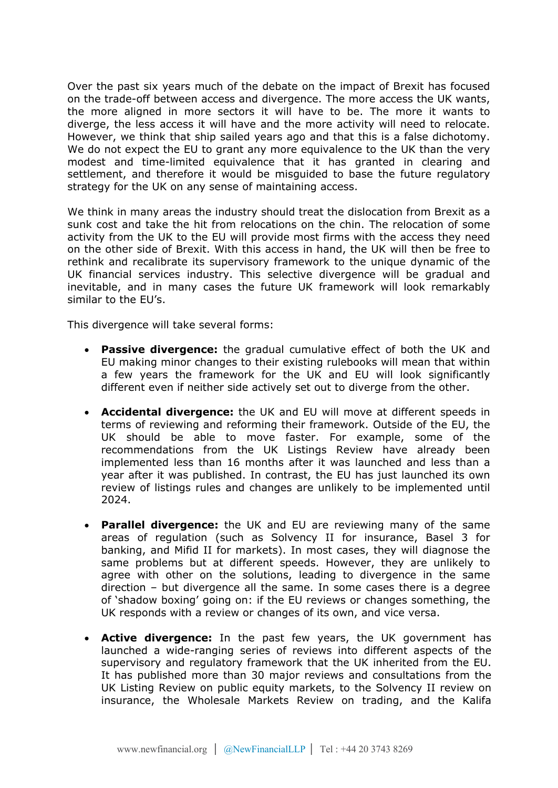Over the past six years much of the debate on the impact of Brexit has focused on the trade-off between access and divergence. The more access the UK wants, the more aligned in more sectors it will have to be. The more it wants to diverge, the less access it will have and the more activity will need to relocate. However, we think that ship sailed years ago and that this is a false dichotomy. We do not expect the EU to grant any more equivalence to the UK than the very modest and time-limited equivalence that it has granted in clearing and settlement, and therefore it would be misguided to base the future regulatory strategy for the UK on any sense of maintaining access.

We think in many areas the industry should treat the dislocation from Brexit as a sunk cost and take the hit from relocations on the chin. The relocation of some activity from the UK to the EU will provide most firms with the access they need on the other side of Brexit. With this access in hand, the UK will then be free to rethink and recalibrate its supervisory framework to the unique dynamic of the UK financial services industry. This selective divergence will be gradual and inevitable, and in many cases the future UK framework will look remarkably similar to the EU's.

This divergence will take several forms:

- **Passive divergence:** the gradual cumulative effect of both the UK and EU making minor changes to their existing rulebooks will mean that within a few years the framework for the UK and EU will look significantly different even if neither side actively set out to diverge from the other.
- **Accidental divergence:** the UK and EU will move at different speeds in terms of reviewing and reforming their framework. Outside of the EU, the UK should be able to move faster. For example, some of the recommendations from the UK Listings Review have already been implemented less than 16 months after it was launched and less than a year after it was published. In contrast, the EU has just launched its own review of listings rules and changes are unlikely to be implemented until 2024.
- **Parallel divergence:** the UK and EU are reviewing many of the same areas of regulation (such as Solvency II for insurance, Basel 3 for banking, and Mifid II for markets). In most cases, they will diagnose the same problems but at different speeds. However, they are unlikely to agree with other on the solutions, leading to divergence in the same direction – but divergence all the same. In some cases there is a degree of 'shadow boxing' going on: if the EU reviews or changes something, the UK responds with a review or changes of its own, and vice versa.
- **Active divergence:** In the past few years, the UK government has launched a wide-ranging series of reviews into different aspects of the supervisory and regulatory framework that the UK inherited from the EU. It has published more than 30 major reviews and consultations from the UK Listing Review on public equity markets, to the Solvency II review on insurance, the Wholesale Markets Review on trading, and the Kalifa